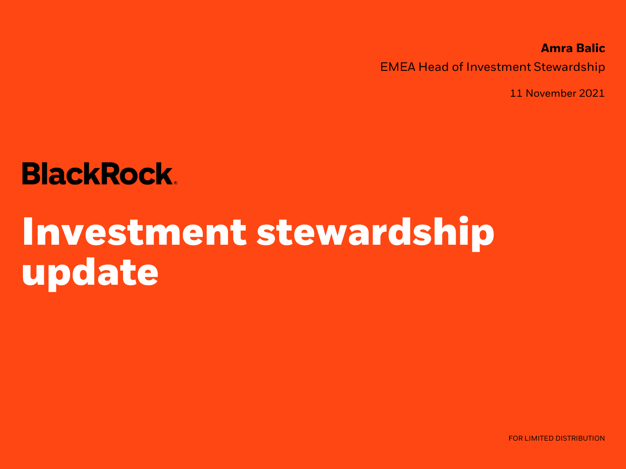**Amra Balic** EMEA Head of Investment Stewardship

11 November 2021

## **BlackRock.**

# **Investment stewardship update**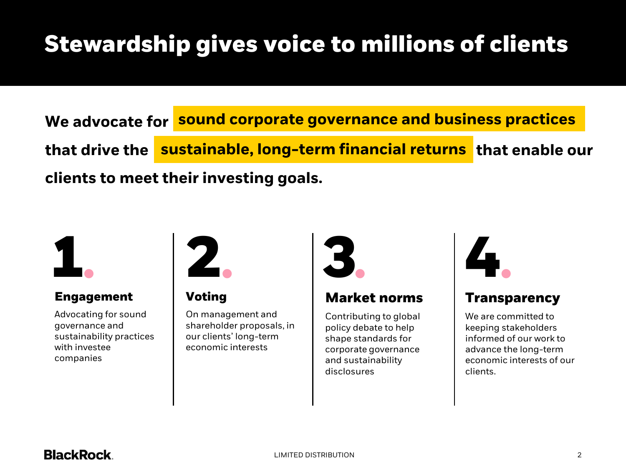### Stewardship gives voice to millions of clients

**We advocate for sound corporate governance and business practices that drive the sustainable, long-term financial returns that enable our sustainable, long term financial returns clients to meet their investing goals.**



#### **Engagement**

Advocating for sound governance and sustainability practices with investee companies

**Voting**

On management and shareholder proposals, in our clients' long-term economic interests



### **Market norms**

Contributing to global policy debate to help shape standards for corporate governance and sustainability disclosures



### **Transparency**

We are committed to keeping stakeholders informed of our work to advance the long-term economic interests of our clients.

### **BlackRock**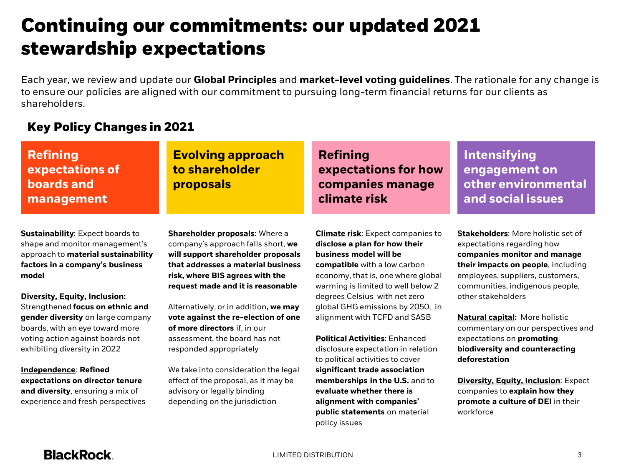### Continuing our commitments: our updated 2021 stewardship expectations

Each year, we review and update our **Global Principles** and **market-level voting guidelines**. The rationale for any change is to ensure our policies are aligned with our commitment to pursuing long-term financial returns for our clients as shareholders.

#### Key Policy Changes in 2021

| <b>Refining</b><br>expectations of<br><b>boards and</b><br>management | <b>Evolving approach</b><br>to shareholder<br>proposals | <b>Refining</b><br>expectations for how<br>companies manage<br>climate risk | <b>Intensifying</b><br>engagement on<br>other environmental<br>and social issues |
|-----------------------------------------------------------------------|---------------------------------------------------------|-----------------------------------------------------------------------------|----------------------------------------------------------------------------------|
| <b>Sustainability:</b> Expect boards to                               | Shareholder proposals: Where a                          | <b>Climate risk:</b> Expect companies to                                    | <b>Stakeholders: More holistic set of</b>                                        |
| shape and monitor management's                                        | company's approach falls short, we                      | disclose a plan for how their                                               | expectations regarding how                                                       |
| approach to material sustainability                                   | will support shareholder proposals                      | business model will be                                                      | companies monitor and manage                                                     |
| factors in a company's husiness                                       | that addresses a material business                      | compatible with a low carbon                                                | thoir importe on noonlo including                                                |

**factors in a company's business model**

**Diversity, Equity, Inclusion:**  Strengthened **focus on ethnic and gender diversity** on large company boards, with an eye toward more voting action against boards not exhibiting diversity in 2022

**Independence**: **Refined expectations on director tenure and diversity**, ensuring a mix of experience and fresh perspectives

**that addresses a material business risk, where BIS agrees with the request made and it is reasonable**

Alternatively, or in addition**, we may vote against the re-election of one of more directors** if, in our assessment, the board has not responded appropriately

We take into consideration the legal effect of the proposal, as it may be advisory or legally binding depending on the jurisdiction

**compatible** with a low carbon economy, that is, one where global warming is limited to well below 2 degrees Celsius with net zero global GHG emissions by 2050, in alignment with TCFD and SASB

**Political Activities**: Enhanced disclosure expectation in relation to political activities to cover **significant trade association memberships in the U.S.** and to **evaluate whether there is alignment with companies' public statements** on material policy issues

**their impacts on people**, including employees, suppliers, customers, communities, indigenous people, other stakeholders

**Natural capital:** More holistic commentary on our perspectives and expectations on **promoting biodiversity and counteracting deforestation**

**Diversity, Equity, Inclusion**: Expect companies to **explain how they promote a culture of DEI** in their workforce

#### **BlackRock**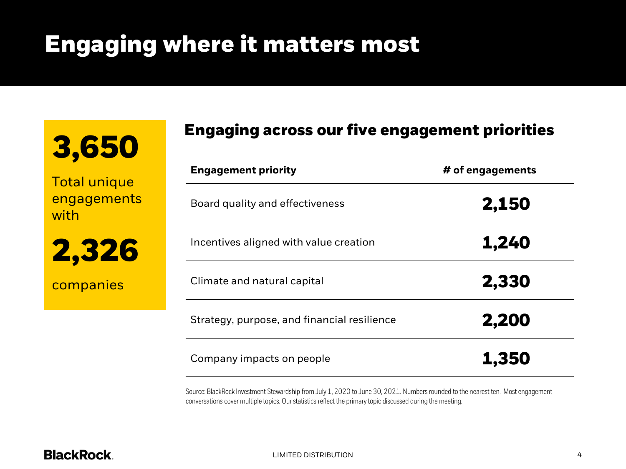### Engaging where it matters most

| 3,650 |
|-------|
|-------|

Total unique engagements with

2,326

companies

### Engaging across our five engagement priorities

| <b>Engagement priority</b>                  | # of engagements |  |
|---------------------------------------------|------------------|--|
| Board quality and effectiveness             | 2,150            |  |
| Incentives aligned with value creation      | 1,240            |  |
| Climate and natural capital                 | 2,330            |  |
| Strategy, purpose, and financial resilience | 2,200            |  |
| Company impacts on people                   | 1,350            |  |

Source: BlackRock Investment Stewardship from July 1, 2020 to June 30, 2021. Numbers rounded to the nearest ten. Most engagement conversations cover multiple topics. Our statistics reflect the primary topic discussed during the meeting.

#### **BlackRock.**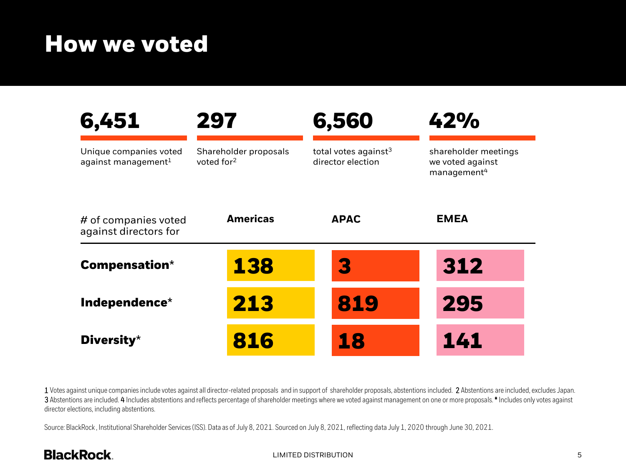### How we voted

| 6,451                                            | 297                                             | 6,560                                                 | 42%                                                                 |
|--------------------------------------------------|-------------------------------------------------|-------------------------------------------------------|---------------------------------------------------------------------|
| Unique companies voted<br>against management $1$ | Shareholder proposals<br>voted for <sup>2</sup> | total votes against <sup>3</sup><br>director election | shareholder meetings<br>we voted against<br>management <sup>4</sup> |
| # of companies voted<br>against directors for    | <b>Americas</b>                                 | <b>APAC</b>                                           | <b>EMEA</b>                                                         |
| <b>Compensation*</b>                             | 138                                             | B                                                     | 312                                                                 |
| Independence*                                    | 213                                             | 819                                                   | 295                                                                 |
| Diversity*                                       | 816                                             | 18                                                    | 141                                                                 |

1 Votes against unique companies include votes against all director-related proposals and in support of shareholder proposals, abstentions included. 2 Abstentions are included, excludes Japan. 3 Abstentions are included. 4 Includes abstentions and reflects percentage of shareholder meetings where we voted against management on one or more proposals. **\*** Includes only votes against director elections, including abstentions.

Source: BlackRock , Institutional Shareholder Services (ISS). Data as of July 8, 2021. Sourced on July 8, 2021, reflecting data July 1, 2020 through June 30, 2021.

### **BlackRock.**

#### LIMITED DISTRIBUTION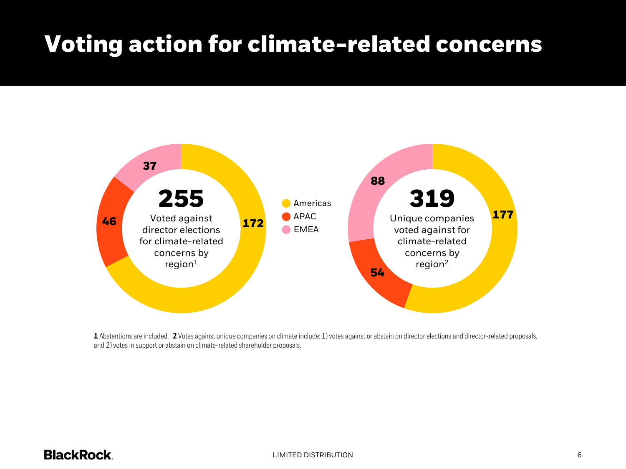### Voting action for climate-related concerns



**1** Abstentions are included. **2** Votes against unique companies on climate include: 1) votes against or abstain on director elections and director-related proposals, and 2) votes in support or abstain on climate-related shareholder proposals.

#### **BlackRock.**